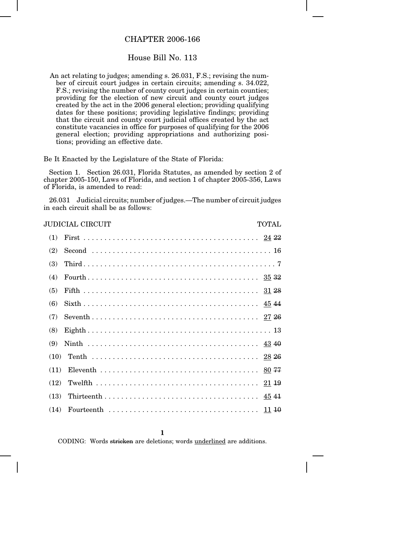## CHAPTER 2006-166

## House Bill No. 113

An act relating to judges; amending s. 26.031, F.S.; revising the number of circuit court judges in certain circuits; amending s. 34.022, F.S.; revising the number of county court judges in certain counties; providing for the election of new circuit and county court judges created by the act in the 2006 general election; providing qualifying dates for these positions; providing legislative findings; providing that the circuit and county court judicial offices created by the act constitute vacancies in office for purposes of qualifying for the 2006 general election; providing appropriations and authorizing positions; providing an effective date.

Be It Enacted by the Legislature of the State of Florida:

Section 1. Section 26.031, Florida Statutes, as amended by section 2 of chapter 2005-150, Laws of Florida, and section 1 of chapter 2005-356, Laws of Florida, is amended to read:

26.031 Judicial circuits; number of judges.—The number of circuit judges in each circuit shall be as follows:

| JUDICIAL CIRCUIT<br><b>TOTAL</b> |  |  |  |
|----------------------------------|--|--|--|
| (1)                              |  |  |  |
| (2)                              |  |  |  |
| (3)                              |  |  |  |
| (4)                              |  |  |  |
| (5)                              |  |  |  |
| (6)                              |  |  |  |
| (7)                              |  |  |  |
| (8)                              |  |  |  |
| (9)                              |  |  |  |
| (10)                             |  |  |  |
| (11)                             |  |  |  |
| (12)                             |  |  |  |
| (13)                             |  |  |  |
| (14)                             |  |  |  |

**1**

CODING: Words stricken are deletions; words underlined are additions.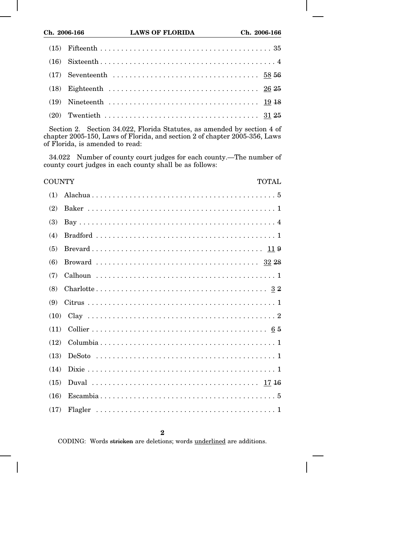Section 2. Section 34.022, Florida Statutes, as amended by section 4 of chapter 2005-150, Laws of Florida, and section 2 of chapter 2005-356, Laws of Florida, is amended to read:

34.022 Number of county court judges for each county.—The number of county court judges in each county shall be as follows:

| COUNTY<br><b>TOTAL</b> |  |  |
|------------------------|--|--|
|                        |  |  |
|                        |  |  |
|                        |  |  |
|                        |  |  |
|                        |  |  |
|                        |  |  |
|                        |  |  |
|                        |  |  |
|                        |  |  |
|                        |  |  |
|                        |  |  |
|                        |  |  |
|                        |  |  |
|                        |  |  |
|                        |  |  |
|                        |  |  |
|                        |  |  |

CODING: Words stricken are deletions; words underlined are additions.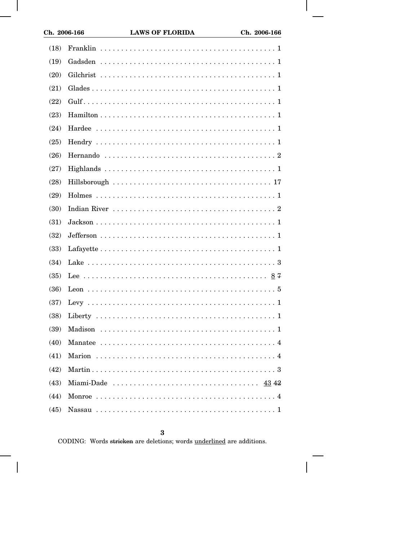| (18) |                   |
|------|-------------------|
| (19) |                   |
| (20) |                   |
| (21) |                   |
| (22) |                   |
| (23) |                   |
| (24) |                   |
| (25) |                   |
| (26) |                   |
| (27) |                   |
| (28) |                   |
| (29) |                   |
| (30) |                   |
| (31) |                   |
| (32) |                   |
| (33) |                   |
| (34) |                   |
| (35) |                   |
| (36) |                   |
| (37) |                   |
| (38) |                   |
| (39) |                   |
| (40) |                   |
| (41) |                   |
| (42) |                   |
| (43) | Miami-Dade  43 42 |
| (44) |                   |
| (45) |                   |

 $\bf{3}$ 

CODING: Words stricken are deletions; words underlined are additions.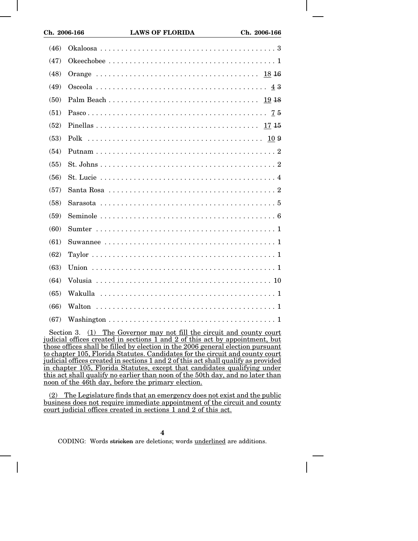| (46) |  |
|------|--|
| (47) |  |
| (48) |  |
| (49) |  |
| (50) |  |
| (51) |  |
| (52) |  |
| (53) |  |
| (54) |  |
| (55) |  |
| (56) |  |
| (57) |  |
| (58) |  |
| (59) |  |
| (60) |  |
| (61) |  |
| (62) |  |
| (63) |  |
| (64) |  |
| (65) |  |
| (66) |  |
| (67) |  |

Section 3. (1) The Governor may not fill the circuit and county court judicial offices created in sections 1 and 2 of this act by appointment, but those offices shall be filled by election in the 2006 general election pursuant to chapter 105, Florida Statutes. Candidates for the circuit and county court judicial offices created in sections 1 and 2 of this act shall qualify as provided in chapter 105, Florida Statutes, except that candidates qualifying under this act shall qualify no earlier than noon of the 50th day, and no later than noon of the 46th day, before the primary election.

(2) The Legislature finds that an emergency does not exist and the public business does not require immediate appointment of the circuit and county court judicial offices created in sections 1 and 2 of this act.